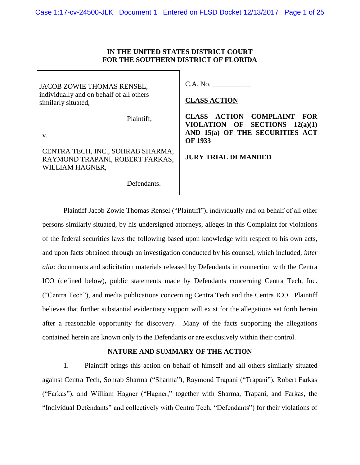## **IN THE UNITED STATES DISTRICT COURT FOR THE SOUTHERN DISTRICT OF FLORIDA**

JACOB ZOWIE THOMAS RENSEL, individually and on behalf of all others similarly situated,

Plaintiff,

v.

CENTRA TECH, INC., SOHRAB SHARMA, RAYMOND TRAPANI, ROBERT FARKAS, WILLIAM HAGNER,

Defendants.

C.A. No. \_\_\_\_\_\_\_\_\_\_\_

### **CLASS ACTION**

**CLASS ACTION COMPLAINT FOR VIOLATION OF SECTIONS 12(a)(1) AND 15(a) OF THE SECURITIES ACT OF 1933**

### **JURY TRIAL DEMANDED**

Plaintiff Jacob Zowie Thomas Rensel ("Plaintiff"), individually and on behalf of all other persons similarly situated, by his undersigned attorneys, alleges in this Complaint for violations of the federal securities laws the following based upon knowledge with respect to his own acts, and upon facts obtained through an investigation conducted by his counsel, which included, *inter alia*: documents and solicitation materials released by Defendants in connection with the Centra ICO (defined below), public statements made by Defendants concerning Centra Tech, Inc. ("Centra Tech"), and media publications concerning Centra Tech and the Centra ICO. Plaintiff believes that further substantial evidentiary support will exist for the allegations set forth herein after a reasonable opportunity for discovery. Many of the facts supporting the allegations contained herein are known only to the Defendants or are exclusively within their control.

### **NATURE AND SUMMARY OF THE ACTION**

1. Plaintiff brings this action on behalf of himself and all others similarly situated against Centra Tech, Sohrab Sharma ("Sharma"), Raymond Trapani ("Trapani"), Robert Farkas ("Farkas"), and William Hagner ("Hagner," together with Sharma, Trapani, and Farkas, the "Individual Defendants" and collectively with Centra Tech, "Defendants") for their violations of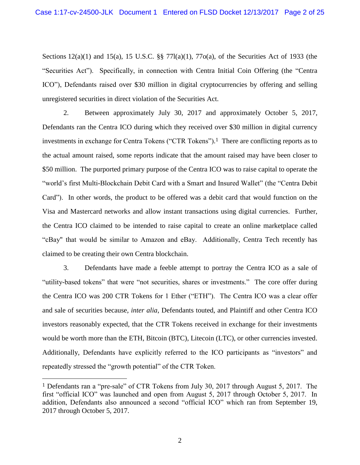Sections 12(a)(1) and 15(a), 15 U.S.C. §§ 77l(a)(1), 77o(a), of the Securities Act of 1933 (the "Securities Act"). Specifically, in connection with Centra Initial Coin Offering (the "Centra ICO"), Defendants raised over \$30 million in digital cryptocurrencies by offering and selling unregistered securities in direct violation of the Securities Act.

2. Between approximately July 30, 2017 and approximately October 5, 2017, Defendants ran the Centra ICO during which they received over \$30 million in digital currency investments in exchange for Centra Tokens ("CTR Tokens"). 1 There are conflicting reports as to the actual amount raised, some reports indicate that the amount raised may have been closer to \$50 million. The purported primary purpose of the Centra ICO was to raise capital to operate the "world's first Multi-Blockchain Debit Card with a Smart and Insured Wallet" (the "Centra Debit Card"). In other words, the product to be offered was a debit card that would function on the Visa and Mastercard networks and allow instant transactions using digital currencies. Further, the Centra ICO claimed to be intended to raise capital to create an online marketplace called "cBay" that would be similar to Amazon and eBay. Additionally, Centra Tech recently has claimed to be creating their own Centra blockchain.

3. Defendants have made a feeble attempt to portray the Centra ICO as a sale of "utility-based tokens" that were "not securities, shares or investments." The core offer during the Centra ICO was 200 CTR Tokens for 1 Ether ("ETH"). The Centra ICO was a clear offer and sale of securities because, *inter alia*, Defendants touted, and Plaintiff and other Centra ICO investors reasonably expected, that the CTR Tokens received in exchange for their investments would be worth more than the ETH, Bitcoin (BTC), Litecoin (LTC), or other currencies invested. Additionally, Defendants have explicitly referred to the ICO participants as "investors" and repeatedly stressed the "growth potential" of the CTR Token.

<sup>1</sup> Defendants ran a "pre-sale" of CTR Tokens from July 30, 2017 through August 5, 2017. The first "official ICO" was launched and open from August 5, 2017 through October 5, 2017. In addition, Defendants also announced a second "official ICO" which ran from September 19, 2017 through October 5, 2017.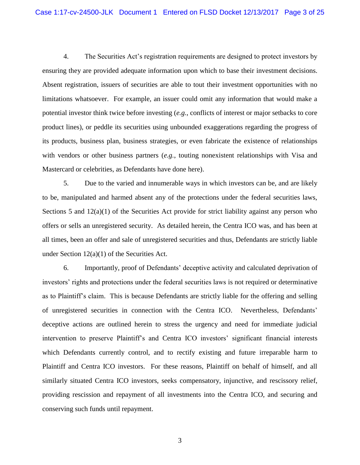4. The Securities Act's registration requirements are designed to protect investors by ensuring they are provided adequate information upon which to base their investment decisions. Absent registration, issuers of securities are able to tout their investment opportunities with no limitations whatsoever. For example, an issuer could omit any information that would make a potential investor think twice before investing (*e.g.*, conflicts of interest or major setbacks to core product lines), or peddle its securities using unbounded exaggerations regarding the progress of its products, business plan, business strategies, or even fabricate the existence of relationships with vendors or other business partners (*e.g.*, touting nonexistent relationships with Visa and Mastercard or celebrities, as Defendants have done here).

5. Due to the varied and innumerable ways in which investors can be, and are likely to be, manipulated and harmed absent any of the protections under the federal securities laws, Sections 5 and  $12(a)(1)$  of the Securities Act provide for strict liability against any person who offers or sells an unregistered security. As detailed herein, the Centra ICO was, and has been at all times, been an offer and sale of unregistered securities and thus, Defendants are strictly liable under Section  $12(a)(1)$  of the Securities Act.

6. Importantly, proof of Defendants' deceptive activity and calculated deprivation of investors' rights and protections under the federal securities laws is not required or determinative as to Plaintiff's claim. This is because Defendants are strictly liable for the offering and selling of unregistered securities in connection with the Centra ICO. Nevertheless, Defendants' deceptive actions are outlined herein to stress the urgency and need for immediate judicial intervention to preserve Plaintiff's and Centra ICO investors' significant financial interests which Defendants currently control, and to rectify existing and future irreparable harm to Plaintiff and Centra ICO investors. For these reasons, Plaintiff on behalf of himself, and all similarly situated Centra ICO investors, seeks compensatory, injunctive, and rescissory relief, providing rescission and repayment of all investments into the Centra ICO, and securing and conserving such funds until repayment.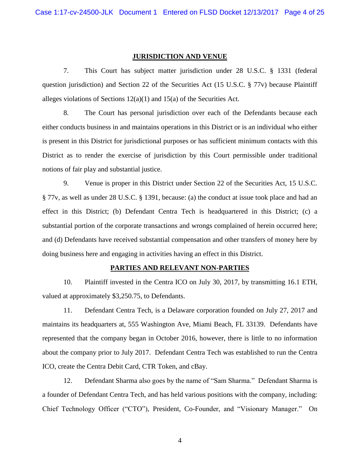### **JURISDICTION AND VENUE**

7. This Court has subject matter jurisdiction under 28 U.S.C. § 1331 (federal question jurisdiction) and Section 22 of the Securities Act (15 U.S.C. § 77v) because Plaintiff alleges violations of Sections  $12(a)(1)$  and  $15(a)$  of the Securities Act.

8. The Court has personal jurisdiction over each of the Defendants because each either conducts business in and maintains operations in this District or is an individual who either is present in this District for jurisdictional purposes or has sufficient minimum contacts with this District as to render the exercise of jurisdiction by this Court permissible under traditional notions of fair play and substantial justice.

9. Venue is proper in this District under Section 22 of the Securities Act, 15 U.S.C. § 77v, as well as under 28 U.S.C. § 1391, because: (a) the conduct at issue took place and had an effect in this District; (b) Defendant Centra Tech is headquartered in this District; (c) a substantial portion of the corporate transactions and wrongs complained of herein occurred here; and (d) Defendants have received substantial compensation and other transfers of money here by doing business here and engaging in activities having an effect in this District.

### **PARTIES AND RELEVANT NON-PARTIES**

10. Plaintiff invested in the Centra ICO on July 30, 2017, by transmitting 16.1 ETH, valued at approximately \$3,250.75, to Defendants.

11. Defendant Centra Tech, is a Delaware corporation founded on July 27, 2017 and maintains its headquarters at, 555 Washington Ave, Miami Beach, FL 33139. Defendants have represented that the company began in October 2016, however, there is little to no information about the company prior to July 2017. Defendant Centra Tech was established to run the Centra ICO, create the Centra Debit Card, CTR Token, and cBay.

12. Defendant Sharma also goes by the name of "Sam Sharma." Defendant Sharma is a founder of Defendant Centra Tech, and has held various positions with the company, including: Chief Technology Officer ("CTO"), President, Co-Founder, and "Visionary Manager." On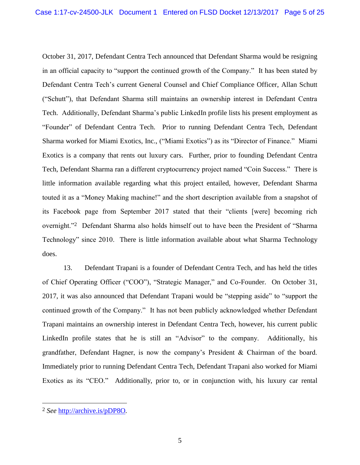October 31, 2017, Defendant Centra Tech announced that Defendant Sharma would be resigning in an official capacity to "support the continued growth of the Company." It has been stated by Defendant Centra Tech's current General Counsel and Chief Compliance Officer, Allan Schutt ("Schutt"), that Defendant Sharma still maintains an ownership interest in Defendant Centra Tech. Additionally, Defendant Sharma's public LinkedIn profile lists his present employment as "Founder" of Defendant Centra Tech. Prior to running Defendant Centra Tech, Defendant Sharma worked for Miami Exotics, Inc., ("Miami Exotics") as its "Director of Finance." Miami Exotics is a company that rents out luxury cars. Further, prior to founding Defendant Centra Tech, Defendant Sharma ran a different cryptocurrency project named "Coin Success." There is little information available regarding what this project entailed, however, Defendant Sharma touted it as a "Money Making machine!" and the short description available from a snapshot of its Facebook page from September 2017 stated that their "clients [were] becoming rich overnight."2 Defendant Sharma also holds himself out to have been the President of "Sharma Technology" since 2010. There is little information available about what Sharma Technology does.

13. Defendant Trapani is a founder of Defendant Centra Tech, and has held the titles of Chief Operating Officer ("COO"), "Strategic Manager," and Co-Founder. On October 31, 2017, it was also announced that Defendant Trapani would be "stepping aside" to "support the continued growth of the Company." It has not been publicly acknowledged whether Defendant Trapani maintains an ownership interest in Defendant Centra Tech, however, his current public LinkedIn profile states that he is still an "Advisor" to the company. Additionally, his grandfather, Defendant Hagner, is now the company's President & Chairman of the board. Immediately prior to running Defendant Centra Tech, Defendant Trapani also worked for Miami Exotics as its "CEO." Additionally, prior to, or in conjunction with, his luxury car rental

<sup>2</sup> *See* http://archive.is/pDP8O*.*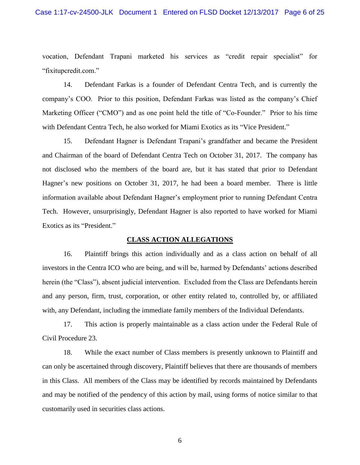vocation, Defendant Trapani marketed his services as "credit repair specialist" for "fixitupcredit.com."

14. Defendant Farkas is a founder of Defendant Centra Tech, and is currently the company's COO. Prior to this position, Defendant Farkas was listed as the company's Chief Marketing Officer ("CMO") and as one point held the title of "Co-Founder." Prior to his time with Defendant Centra Tech, he also worked for Miami Exotics as its "Vice President."

15. Defendant Hagner is Defendant Trapani's grandfather and became the President and Chairman of the board of Defendant Centra Tech on October 31, 2017. The company has not disclosed who the members of the board are, but it has stated that prior to Defendant Hagner's new positions on October 31, 2017, he had been a board member. There is little information available about Defendant Hagner's employment prior to running Defendant Centra Tech. However, unsurprisingly, Defendant Hagner is also reported to have worked for Miami Exotics as its "President."

### **CLASS ACTION ALLEGATIONS**

16. Plaintiff brings this action individually and as a class action on behalf of all investors in the Centra ICO who are being, and will be, harmed by Defendants' actions described herein (the "Class"), absent judicial intervention. Excluded from the Class are Defendants herein and any person, firm, trust, corporation, or other entity related to, controlled by, or affiliated with, any Defendant, including the immediate family members of the Individual Defendants.

17. This action is properly maintainable as a class action under the Federal Rule of Civil Procedure 23.

18. While the exact number of Class members is presently unknown to Plaintiff and can only be ascertained through discovery, Plaintiff believes that there are thousands of members in this Class. All members of the Class may be identified by records maintained by Defendants and may be notified of the pendency of this action by mail, using forms of notice similar to that customarily used in securities class actions.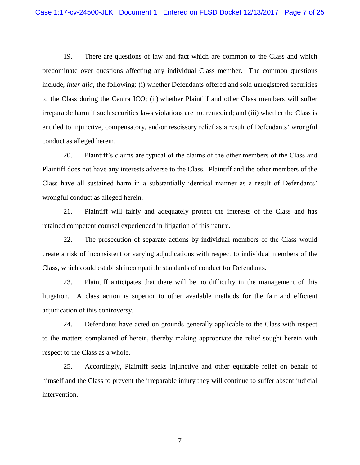19. There are questions of law and fact which are common to the Class and which predominate over questions affecting any individual Class member. The common questions include, *inter alia*, the following: (i) whether Defendants offered and sold unregistered securities to the Class during the Centra ICO; (ii) whether Plaintiff and other Class members will suffer irreparable harm if such securities laws violations are not remedied; and (iii) whether the Class is entitled to injunctive, compensatory, and/or rescissory relief as a result of Defendants' wrongful conduct as alleged herein.

20. Plaintiff's claims are typical of the claims of the other members of the Class and Plaintiff does not have any interests adverse to the Class. Plaintiff and the other members of the Class have all sustained harm in a substantially identical manner as a result of Defendants' wrongful conduct as alleged herein.

21. Plaintiff will fairly and adequately protect the interests of the Class and has retained competent counsel experienced in litigation of this nature.

22. The prosecution of separate actions by individual members of the Class would create a risk of inconsistent or varying adjudications with respect to individual members of the Class, which could establish incompatible standards of conduct for Defendants.

23. Plaintiff anticipates that there will be no difficulty in the management of this litigation. A class action is superior to other available methods for the fair and efficient adjudication of this controversy.

24. Defendants have acted on grounds generally applicable to the Class with respect to the matters complained of herein, thereby making appropriate the relief sought herein with respect to the Class as a whole.

25. Accordingly, Plaintiff seeks injunctive and other equitable relief on behalf of himself and the Class to prevent the irreparable injury they will continue to suffer absent judicial intervention.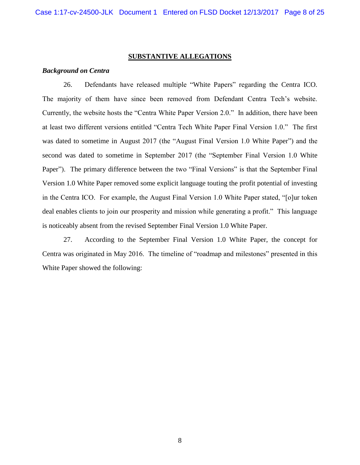#### **SUBSTANTIVE ALLEGATIONS**

### *Background on Centra*

26. Defendants have released multiple "White Papers" regarding the Centra ICO. The majority of them have since been removed from Defendant Centra Tech's website. Currently, the website hosts the "Centra White Paper Version 2.0." In addition, there have been at least two different versions entitled "Centra Tech White Paper Final Version 1.0." The first was dated to sometime in August 2017 (the "August Final Version 1.0 White Paper") and the second was dated to sometime in September 2017 (the "September Final Version 1.0 White Paper"). The primary difference between the two "Final Versions" is that the September Final Version 1.0 White Paper removed some explicit language touting the profit potential of investing in the Centra ICO. For example, the August Final Version 1.0 White Paper stated, "[o]ur token deal enables clients to join our prosperity and mission while generating a profit." This language is noticeably absent from the revised September Final Version 1.0 White Paper.

27. According to the September Final Version 1.0 White Paper, the concept for Centra was originated in May 2016. The timeline of "roadmap and milestones" presented in this White Paper showed the following: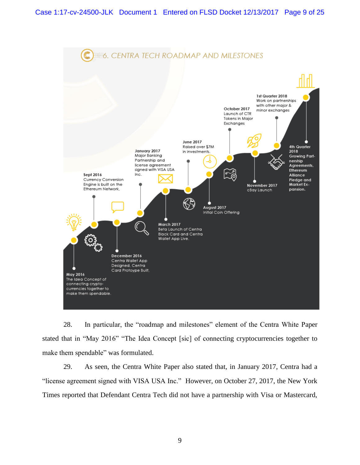

28. In particular, the "roadmap and milestones" element of the Centra White Paper stated that in "May 2016" "The Idea Concept [sic] of connecting cryptocurrencies together to make them spendable" was formulated.

29. As seen, the Centra White Paper also stated that, in January 2017, Centra had a "license agreement signed with VISA USA Inc." However, on October 27, 2017, the New York Times reported that Defendant Centra Tech did not have a partnership with Visa or Mastercard,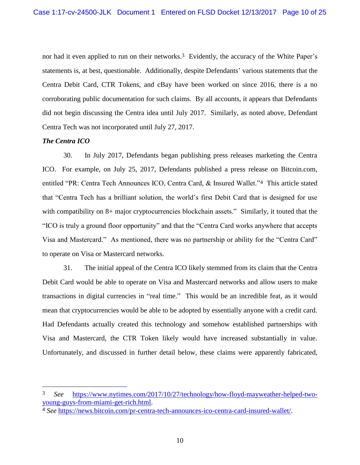nor had it even applied to run on their networks.<sup>3</sup> Evidently, the accuracy of the White Paper's statements is, at best, questionable. Additionally, despite Defendants' various statements that the Centra Debit Card, CTR Tokens, and cBay have been worked on since 2016, there is a no corroborating public documentation for such claims. By all accounts, it appears that Defendants did not begin discussing the Centra idea until July 2017. Similarly, as noted above, Defendant Centra Tech was not incorporated until July 27, 2017.

### *The Centra ICO*

 $\overline{a}$ 

30. In July 2017, Defendants began publishing press releases marketing the Centra ICO. For example, on July 25, 2017, Defendants published a press release on Bitcoin.com, entitled "PR: Centra Tech Announces ICO, Centra Card, & Insured Wallet."4 This article stated that "Centra Tech has a brilliant solution, the world's first Debit Card that is designed for use with compatibility on 8+ major cryptocurrencies blockchain assets." Similarly, it touted that the "ICO is truly a ground floor opportunity" and that the "Centra Card works anywhere that accepts Visa and Mastercard." As mentioned, there was no partnership or ability for the "Centra Card" to operate on Visa or Mastercard networks.

31. The initial appeal of the Centra ICO likely stemmed from its claim that the Centra Debit Card would be able to operate on Visa and Mastercard networks and allow users to make transactions in digital currencies in "real time." This would be an incredible feat, as it would mean that cryptocurrencies would be able to be adopted by essentially anyone with a credit card. Had Defendants actually created this technology and somehow established partnerships with Visa and Mastercard, the CTR Token likely would have increased substantially in value. Unfortunately, and discussed in further detail below, these claims were apparently fabricated,

<sup>3</sup> *See* https://www.nytimes.com/2017/10/27/technology/how-floyd-mayweather-helped-twoyoung-guys-from-miami-get-rich.html.

<sup>4</sup> *See* https://news.bitcoin.com/pr-centra-tech-announces-ico-centra-card-insured-wallet/.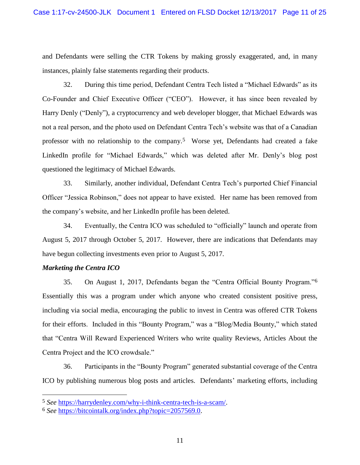and Defendants were selling the CTR Tokens by making grossly exaggerated, and, in many instances, plainly false statements regarding their products.

32. During this time period, Defendant Centra Tech listed a "Michael Edwards" as its Co-Founder and Chief Executive Officer ("CEO"). However, it has since been revealed by Harry Denly ("Denly"), a cryptocurrency and web developer blogger, that Michael Edwards was not a real person, and the photo used on Defendant Centra Tech's website was that of a Canadian professor with no relationship to the company.5 Worse yet, Defendants had created a fake LinkedIn profile for "Michael Edwards," which was deleted after Mr. Denly's blog post questioned the legitimacy of Michael Edwards.

33. Similarly, another individual, Defendant Centra Tech's purported Chief Financial Officer "Jessica Robinson," does not appear to have existed. Her name has been removed from the company's website, and her LinkedIn profile has been deleted.

34. Eventually, the Centra ICO was scheduled to "officially" launch and operate from August 5, 2017 through October 5, 2017. However, there are indications that Defendants may have begun collecting investments even prior to August 5, 2017.

## *Marketing the Centra ICO*

 $\overline{a}$ 

35. On August 1, 2017, Defendants began the "Centra Official Bounty Program."6 Essentially this was a program under which anyone who created consistent positive press, including via social media, encouraging the public to invest in Centra was offered CTR Tokens for their efforts. Included in this "Bounty Program," was a "Blog/Media Bounty," which stated that "Centra Will Reward Experienced Writers who write quality Reviews, Articles About the Centra Project and the ICO crowdsale."

36. Participants in the "Bounty Program" generated substantial coverage of the Centra ICO by publishing numerous blog posts and articles. Defendants' marketing efforts, including

<sup>5</sup> *See* https://harrydenley.com/why-i-think-centra-tech-is-a-scam/.

<sup>6</sup> *See* https://bitcointalk.org/index.php?topic=2057569.0.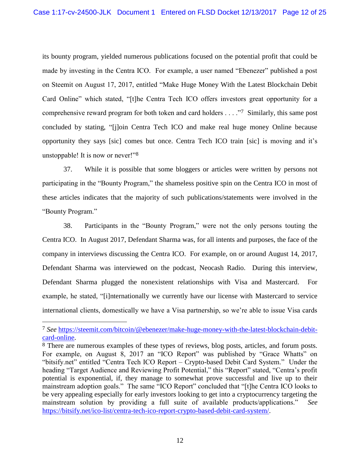its bounty program, yielded numerous publications focused on the potential profit that could be made by investing in the Centra ICO. For example, a user named "Ebenezer" published a post on Steemit on August 17, 2017, entitled "Make Huge Money With the Latest Blockchain Debit Card Online" which stated, "[t]he Centra Tech ICO offers investors great opportunity for a comprehensive reward program for both token and card holders . . . ."7 Similarly, this same post concluded by stating, "[j]oin Centra Tech ICO and make real huge money Online because opportunity they says [sic] comes but once. Centra Tech ICO train [sic] is moving and it's unstoppable! It is now or never!"8

37. While it is possible that some bloggers or articles were written by persons not participating in the "Bounty Program," the shameless positive spin on the Centra ICO in most of these articles indicates that the majority of such publications/statements were involved in the "Bounty Program."

38. Participants in the "Bounty Program," were not the only persons touting the Centra ICO. In August 2017, Defendant Sharma was, for all intents and purposes, the face of the company in interviews discussing the Centra ICO. For example, on or around August 14, 2017, Defendant Sharma was interviewed on the podcast, Neocash Radio. During this interview, Defendant Sharma plugged the nonexistent relationships with Visa and Mastercard. For example, he stated, "[i]nternationally we currently have our license with Mastercard to service international clients, domestically we have a Visa partnership, so we're able to issue Visa cards

<sup>7</sup> *See* https://steemit.com/bitcoin/@ebenezer/make-huge-money-with-the-latest-blockchain-debitcard-online.

<sup>8</sup> There are numerous examples of these types of reviews, blog posts, articles, and forum posts. For example, on August 8, 2017 an "ICO Report" was published by "Grace Whatts" on "bitsify.net" entitled "Centra Tech ICO Report – Crypto-based Debit Card System." Under the heading "Target Audience and Reviewing Profit Potential," this "Report" stated, "Centra's profit potential is exponential, if, they manage to somewhat prove successful and live up to their mainstream adoption goals." The same "ICO Report" concluded that "[t]he Centra ICO looks to be very appealing especially for early investors looking to get into a cryptocurrency targeting the mainstream solution by providing a full suite of available products/applications." *See*  https://bitsify.net/ico-list/centra-tech-ico-report-crypto-based-debit-card-system/.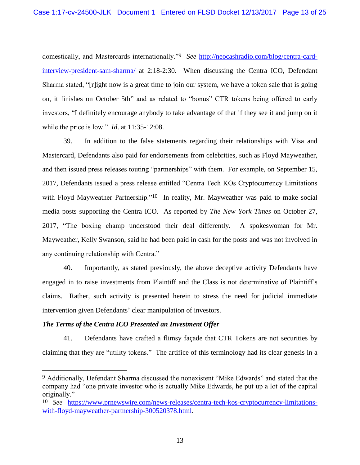domestically, and Mastercards internationally."9 *See* http://neocashradio.com/blog/centra-cardinterview-president-sam-sharma/ at 2:18-2:30. When discussing the Centra ICO, Defendant Sharma stated, "[r]ight now is a great time to join our system, we have a token sale that is going on, it finishes on October 5th" and as related to "bonus" CTR tokens being offered to early investors, "I definitely encourage anybody to take advantage of that if they see it and jump on it while the price is low." *Id*. at 11:35-12:08.

39. In addition to the false statements regarding their relationships with Visa and Mastercard, Defendants also paid for endorsements from celebrities, such as Floyd Mayweather, and then issued press releases touting "partnerships" with them. For example, on September 15, 2017, Defendants issued a press release entitled "Centra Tech KOs Cryptocurrency Limitations with Floyd Mayweather Partnership."<sup>10</sup> In reality, Mr. Mayweather was paid to make social media posts supporting the Centra ICO. As reported by *The New York Times* on October 27, 2017, "The boxing champ understood their deal differently. A spokeswoman for Mr. Mayweather, Kelly Swanson, said he had been paid in cash for the posts and was not involved in any continuing relationship with Centra."

40. Importantly, as stated previously, the above deceptive activity Defendants have engaged in to raise investments from Plaintiff and the Class is not determinative of Plaintiff's claims. Rather, such activity is presented herein to stress the need for judicial immediate intervention given Defendants' clear manipulation of investors.

## *The Terms of the Centra ICO Presented an Investment Offer*

 $\overline{a}$ 

41. Defendants have crafted a flimsy façade that CTR Tokens are not securities by claiming that they are "utility tokens." The artifice of this terminology had its clear genesis in a

<sup>9</sup> Additionally, Defendant Sharma discussed the nonexistent "Mike Edwards" and stated that the company had "one private investor who is actually Mike Edwards, he put up a lot of the capital originally."

<sup>10</sup> *See* https://www.prnewswire.com/news-releases/centra-tech-kos-cryptocurrency-limitationswith-floyd-mayweather-partnership-300520378.html.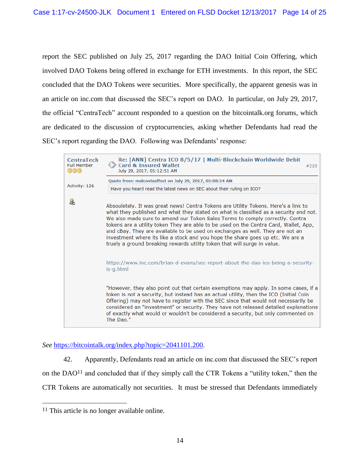report the SEC published on July 25, 2017 regarding the DAO Initial Coin Offering, which involved DAO Tokens being offered in exchange for ETH investments. In this report, the SEC concluded that the DAO Tokens were securities. More specifically, the apparent genesis was in an article on inc.com that discussed the SEC's report on DAO. In particular, on July 29, 2017, the official "CentraTech" account responded to a question on the bitcointalk.org forums, which are dedicated to the discussion of cryptocurrencies, asking whether Defendants had read the SEC's report regarding the DAO. Following was Defendants' response:



*See* https://bitcointalk.org/index.php?topic=2041101.200.

42. Apparently, Defendants read an article on inc.com that discussed the SEC's report on the DAO<sup>11</sup> and concluded that if they simply call the CTR Tokens a "utility token," then the CTR Tokens are automatically not securities. It must be stressed that Defendants immediately

<sup>11</sup> This article is no longer available online.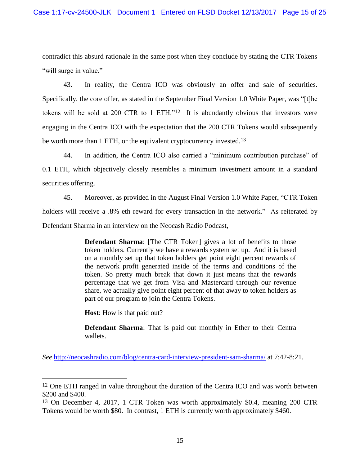contradict this absurd rationale in the same post when they conclude by stating the CTR Tokens "will surge in value."

43. In reality, the Centra ICO was obviously an offer and sale of securities. Specifically, the core offer, as stated in the September Final Version 1.0 White Paper, was "[t]he tokens will be sold at 200 CTR to 1 ETH."12 It is abundantly obvious that investors were engaging in the Centra ICO with the expectation that the 200 CTR Tokens would subsequently be worth more than 1 ETH, or the equivalent cryptocurrency invested.<sup>13</sup>

44. In addition, the Centra ICO also carried a "minimum contribution purchase" of 0.1 ETH, which objectively closely resembles a minimum investment amount in a standard securities offering.

45. Moreover, as provided in the August Final Version 1.0 White Paper, "CTR Token holders will receive a .8% eth reward for every transaction in the network." As reiterated by Defendant Sharma in an interview on the Neocash Radio Podcast,

> **Defendant Sharma:** [The CTR Token] gives a lot of benefits to those token holders. Currently we have a rewards system set up. And it is based on a monthly set up that token holders get point eight percent rewards of the network profit generated inside of the terms and conditions of the token. So pretty much break that down it just means that the rewards percentage that we get from Visa and Mastercard through our revenue share, we actually give point eight percent of that away to token holders as part of our program to join the Centra Tokens.

**Host**: How is that paid out?

 $\overline{a}$ 

**Defendant Sharma**: That is paid out monthly in Ether to their Centra wallets.

*See* http://neocashradio.com/blog/centra-card-interview-president-sam-sharma/ at 7:42-8:21.

<sup>12</sup> One ETH ranged in value throughout the duration of the Centra ICO and was worth between \$200 and \$400.

<sup>13</sup> On December 4, 2017, 1 CTR Token was worth approximately \$0.4, meaning 200 CTR Tokens would be worth \$80. In contrast, 1 ETH is currently worth approximately \$460.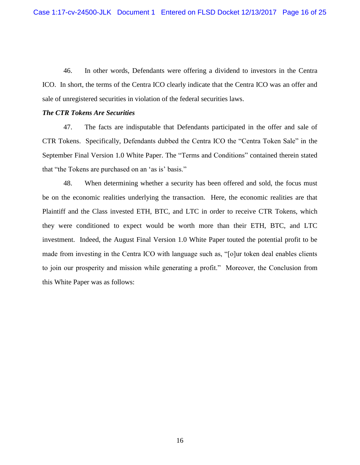46. In other words, Defendants were offering a dividend to investors in the Centra ICO. In short, the terms of the Centra ICO clearly indicate that the Centra ICO was an offer and sale of unregistered securities in violation of the federal securities laws.

### *The CTR Tokens Are Securities*

47. The facts are indisputable that Defendants participated in the offer and sale of CTR Tokens. Specifically, Defendants dubbed the Centra ICO the "Centra Token Sale" in the September Final Version 1.0 White Paper. The "Terms and Conditions" contained therein stated that "the Tokens are purchased on an 'as is' basis."

48. When determining whether a security has been offered and sold, the focus must be on the economic realities underlying the transaction. Here, the economic realities are that Plaintiff and the Class invested ETH, BTC, and LTC in order to receive CTR Tokens, which they were conditioned to expect would be worth more than their ETH, BTC, and LTC investment. Indeed, the August Final Version 1.0 White Paper touted the potential profit to be made from investing in the Centra ICO with language such as, "[o]ur token deal enables clients to join our prosperity and mission while generating a profit." Moreover, the Conclusion from this White Paper was as follows: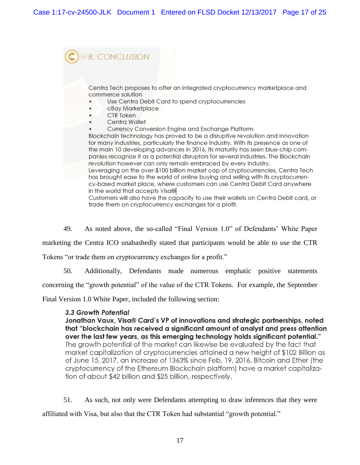**8. CONCLUSION** Centra Tech proposes to offer an integrated cryptocurrency marketplace and commerce solution Use Centra Debit Card to spend cryptocurrencies cBay Marketplace CTR Token Centra Wallet Currency Conversion Engine and Exchange Platform Blockchain technology has proved to be a disruptive revolution and innovation for many industries, particularly the finance industry. With its presence as one of the main 10 developing advances in 2016, its maturity has seen blue-chip companies recognize it as a potential disruptors for several industries. The Blockchain revolution however can only remain embraced by every industry. Leveraging on the over-\$100 billion market cap of cryptocurrencies, Centra Tech has brought ease to the world of online buying and selling with its cryptocurrency-based market place, where customers can use Centra Debit Card anywhere

in the world that accepts Visa® Customers will also have the capacity to use their wallets on Centra Debit card, or

trade them on cryptocurrency exchanges for a profit.

49. As noted above, the so-called "Final Version 1.0" of Defendants' White Paper

marketing the Centra ICO unabashedly stated that participants would be able to use the CTR

Tokens "or trade them on cryptocurrency exchanges for a profit."

50. Additionally, Defendants made numerous emphatic positive statements

concerning the "growth potential" of the value of the CTR Tokens. For example, the September

Final Version 1.0 White Paper, included the following section:

## 3.3 Growth Potential

Jonathan Vaux, Visa® Card's VP of innovations and strategic partnerships, noted that "blockchain has received a significant amount of analyst and press attention over the last few years, as this emerging technology holds significant potential." The growth potential of the market can likewise be evaluated by the fact that market capitalization of cryptocurrencies attained a new height of \$102 Billion as of June 15, 2017, an increase of 1363% since Feb. 19, 2016. Bitcoin and Ether (the cryptocurrency of the Ethereum Blockchain platform) have a market capitalization of about \$42 billion and \$25 billion, respectively.

51. As such, not only were Defendants attempting to draw inferences that they were

affiliated with Visa, but also that the CTR Token had substantial "growth potential."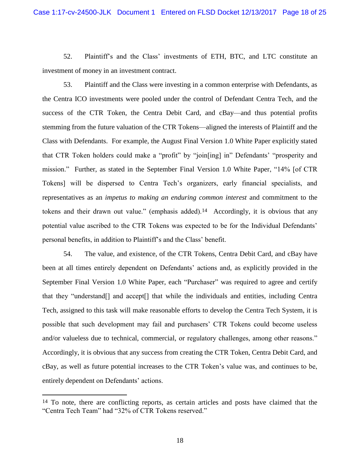52. Plaintiff's and the Class' investments of ETH, BTC, and LTC constitute an investment of money in an investment contract.

53. Plaintiff and the Class were investing in a common enterprise with Defendants, as the Centra ICO investments were pooled under the control of Defendant Centra Tech, and the success of the CTR Token, the Centra Debit Card, and cBay—and thus potential profits stemming from the future valuation of the CTR Tokens—aligned the interests of Plaintiff and the Class with Defendants. For example, the August Final Version 1.0 White Paper explicitly stated that CTR Token holders could make a "profit" by "join[ing] in" Defendants' "prosperity and mission." Further, as stated in the September Final Version 1.0 White Paper, "14% [of CTR Tokens] will be dispersed to Centra Tech's organizers, early financial specialists, and representatives as an *impetus to making an enduring common interest* and commitment to the tokens and their drawn out value." (emphasis added).<sup>14</sup> Accordingly, it is obvious that any potential value ascribed to the CTR Tokens was expected to be for the Individual Defendants' personal benefits, in addition to Plaintiff's and the Class' benefit.

54. The value, and existence, of the CTR Tokens, Centra Debit Card, and cBay have been at all times entirely dependent on Defendants' actions and, as explicitly provided in the September Final Version 1.0 White Paper, each "Purchaser" was required to agree and certify that they "understand[] and accept[] that while the individuals and entities, including Centra Tech, assigned to this task will make reasonable efforts to develop the Centra Tech System, it is possible that such development may fail and purchasers' CTR Tokens could become useless and/or valueless due to technical, commercial, or regulatory challenges, among other reasons." Accordingly, it is obvious that any success from creating the CTR Token, Centra Debit Card, and cBay, as well as future potential increases to the CTR Token's value was, and continues to be, entirely dependent on Defendants' actions.

<sup>&</sup>lt;sup>14</sup> To note, there are conflicting reports, as certain articles and posts have claimed that the "Centra Tech Team" had "32% of CTR Tokens reserved."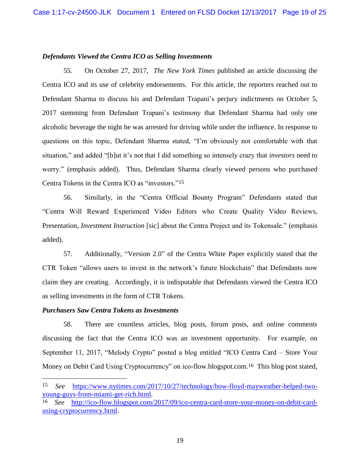### *Defendants Viewed the Centra ICO as Selling Investments*

55. On October 27, 2017, *The New York Times* published an article discussing the Centra ICO and its use of celebrity endorsements. For this article, the reporters reached out to Defendant Sharma to discuss his and Defendant Trapani's perjury indictments on October 5, 2017 stemming from Defendant Trapani's testimony that Defendant Sharma had only one alcoholic beverage the night he was arrested for driving while under the influence. In response to questions on this topic, Defendant Sharma stated, "I'm obviously not comfortable with that situation," and added "[b]ut it's not that I did something so intensely crazy that *investors* need to worry." (emphasis added). Thus, Defendant Sharma clearly viewed persons who purchased Centra Tokens in the Centra ICO as "investors."15

56. Similarly, in the "Centra Official Bounty Program" Defendants stated that "Centra Will Reward Experienced Video Editors who Create Quality Video Reviews, Presentation, *Investment Instruction* [sic] about the Centra Project and its Tokensale." (emphasis added).

57. Additionally, "Version 2.0" of the Centra White Paper explicitly stated that the CTR Token "allows users to invest in the network's future blockchain" that Defendants now claim they are creating. Accordingly, it is indisputable that Defendants viewed the Centra ICO as selling investments in the form of CTR Tokens.

### *Purchasers Saw Centra Tokens as Investments*

 $\overline{a}$ 

58. There are countless articles, blog posts, forum posts, and online comments discussing the fact that the Centra ICO was an investment opportunity. For example, on September 11, 2017, "Melody Crypto" posted a blog entitled "ICO Centra Card – Store Your Money on Debit Card Using Cryptocurrency" on ico-flow.blogspot.com.<sup>16</sup> This blog post stated,

<sup>15</sup> *See* https://www.nytimes.com/2017/10/27/technology/how-floyd-mayweather-helped-twoyoung-guys-from-miami-get-rich.html.

<sup>16</sup> *See* http://ico-flow.blogspot.com/2017/09/ico-centra-card-store-your-money-on-debit-cardusing-cryptocurrency.html.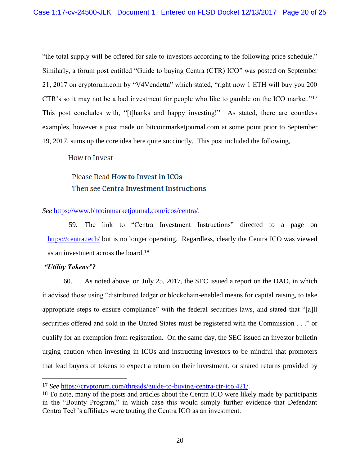"the total supply will be offered for sale to investors according to the following price schedule." Similarly, a forum post entitled "Guide to buying Centra (CTR) ICO" was posted on September 21, 2017 on cryptorum.com by "V4Vendetta" which stated, "right now 1 ETH will buy you 200 CTR's so it may not be a bad investment for people who like to gamble on the ICO market."17 This post concludes with, "[t]hanks and happy investing!" As stated, there are countless examples, however a post made on bitcoinmarketjournal.com at some point prior to September 19, 2017, sums up the core idea here quite succinctly. This post included the following,

## How to Invest

# Please Read How to Invest in ICOs Then see Centra Investment Instructions

## *See* https://www.bitcoinmarketjournal.com/icos/centra/.

59. The link to "Centra Investment Instructions" directed to a page on https://centra.tech/ but is no longer operating. Regardless, clearly the Centra ICO was viewed as an investment across the board.18

## *"Utility Tokens"?*

 $\overline{a}$ 

60. As noted above, on July 25, 2017, the SEC issued a report on the DAO, in which it advised those using "distributed ledger or blockchain-enabled means for capital raising, to take appropriate steps to ensure compliance" with the federal securities laws, and stated that "[a]ll securities offered and sold in the United States must be registered with the Commission . . ." or qualify for an exemption from registration. On the same day, the SEC issued an investor bulletin urging caution when investing in ICOs and instructing investors to be mindful that promoters that lead buyers of tokens to expect a return on their investment, or shared returns provided by

<sup>17</sup> *See* https://cryptorum.com/threads/guide-to-buying-centra-ctr-ico.421/.

<sup>&</sup>lt;sup>18</sup> To note, many of the posts and articles about the Centra ICO were likely made by participants in the "Bounty Program," in which case this would simply further evidence that Defendant Centra Tech's affiliates were touting the Centra ICO as an investment.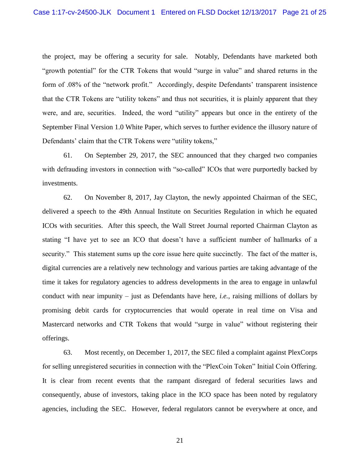the project, may be offering a security for sale. Notably, Defendants have marketed both "growth potential" for the CTR Tokens that would "surge in value" and shared returns in the form of .08% of the "network profit." Accordingly, despite Defendants' transparent insistence that the CTR Tokens are "utility tokens" and thus not securities, it is plainly apparent that they were, and are, securities. Indeed, the word "utility" appears but once in the entirety of the September Final Version 1.0 White Paper, which serves to further evidence the illusory nature of Defendants' claim that the CTR Tokens were "utility tokens,"

61. On September 29, 2017, the SEC announced that they charged two companies with defrauding investors in connection with "so-called" ICOs that were purportedly backed by investments.

62. On November 8, 2017, Jay Clayton, the newly appointed Chairman of the SEC, delivered a speech to the 49th Annual Institute on Securities Regulation in which he equated ICOs with securities. After this speech, the Wall Street Journal reported Chairman Clayton as stating "I have yet to see an ICO that doesn't have a sufficient number of hallmarks of a security." This statement sums up the core issue here quite succinctly. The fact of the matter is, digital currencies are a relatively new technology and various parties are taking advantage of the time it takes for regulatory agencies to address developments in the area to engage in unlawful conduct with near impunity – just as Defendants have here, *i.e.*, raising millions of dollars by promising debit cards for cryptocurrencies that would operate in real time on Visa and Mastercard networks and CTR Tokens that would "surge in value" without registering their offerings.

63. Most recently, on December 1, 2017, the SEC filed a complaint against PlexCorps for selling unregistered securities in connection with the "PlexCoin Token" Initial Coin Offering. It is clear from recent events that the rampant disregard of federal securities laws and consequently, abuse of investors, taking place in the ICO space has been noted by regulatory agencies, including the SEC. However, federal regulators cannot be everywhere at once, and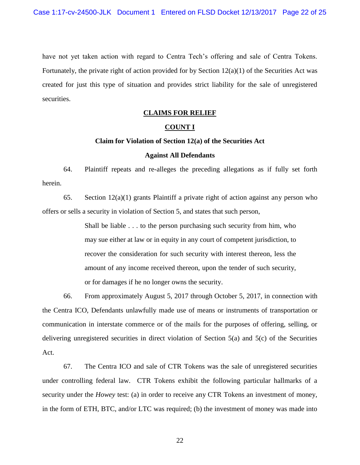have not yet taken action with regard to Centra Tech's offering and sale of Centra Tokens. Fortunately, the private right of action provided for by Section  $12(a)(1)$  of the Securities Act was created for just this type of situation and provides strict liability for the sale of unregistered securities.

### **CLAIMS FOR RELIEF**

### **COUNT I**

### **Claim for Violation of Section 12(a) of the Securities Act**

### **Against All Defendants**

64. Plaintiff repeats and re-alleges the preceding allegations as if fully set forth herein.

65. Section  $12(a)(1)$  grants Plaintiff a private right of action against any person who offers or sells a security in violation of Section 5, and states that such person,

> Shall be liable . . . to the person purchasing such security from him, who may sue either at law or in equity in any court of competent jurisdiction, to recover the consideration for such security with interest thereon, less the amount of any income received thereon, upon the tender of such security, or for damages if he no longer owns the security.

66. From approximately August 5, 2017 through October 5, 2017, in connection with the Centra ICO, Defendants unlawfully made use of means or instruments of transportation or communication in interstate commerce or of the mails for the purposes of offering, selling, or delivering unregistered securities in direct violation of Section 5(a) and 5(c) of the Securities Act.

67. The Centra ICO and sale of CTR Tokens was the sale of unregistered securities under controlling federal law. CTR Tokens exhibit the following particular hallmarks of a security under the *Howey* test: (a) in order to receive any CTR Tokens an investment of money, in the form of ETH, BTC, and/or LTC was required; (b) the investment of money was made into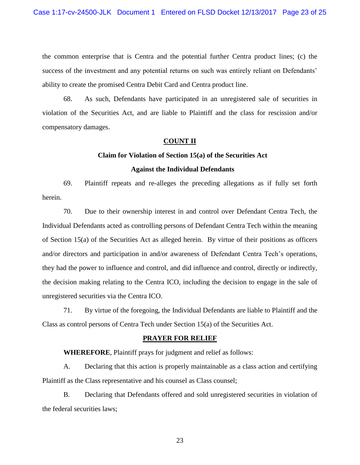the common enterprise that is Centra and the potential further Centra product lines; (c) the success of the investment and any potential returns on such was entirely reliant on Defendants' ability to create the promised Centra Debit Card and Centra product line.

68. As such, Defendants have participated in an unregistered sale of securities in violation of the Securities Act, and are liable to Plaintiff and the class for rescission and/or compensatory damages.

### **COUNT II**

### **Claim for Violation of Section 15(a) of the Securities Act**

### **Against the Individual Defendants**

69. Plaintiff repeats and re-alleges the preceding allegations as if fully set forth herein.

70. Due to their ownership interest in and control over Defendant Centra Tech, the Individual Defendants acted as controlling persons of Defendant Centra Tech within the meaning of Section 15(a) of the Securities Act as alleged herein. By virtue of their positions as officers and/or directors and participation in and/or awareness of Defendant Centra Tech's operations, they had the power to influence and control, and did influence and control, directly or indirectly, the decision making relating to the Centra ICO, including the decision to engage in the sale of unregistered securities via the Centra ICO.

71. By virtue of the foregoing, the Individual Defendants are liable to Plaintiff and the Class as control persons of Centra Tech under Section 15(a) of the Securities Act.

### **PRAYER FOR RELIEF**

**WHEREFORE**, Plaintiff prays for judgment and relief as follows:

A. Declaring that this action is properly maintainable as a class action and certifying Plaintiff as the Class representative and his counsel as Class counsel;

B. Declaring that Defendants offered and sold unregistered securities in violation of the federal securities laws;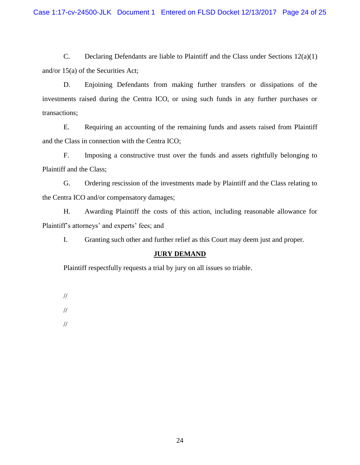C. Declaring Defendants are liable to Plaintiff and the Class under Sections 12(a)(1) and/or 15(a) of the Securities Act;

D. Enjoining Defendants from making further transfers or dissipations of the investments raised during the Centra ICO, or using such funds in any further purchases or transactions;

E. Requiring an accounting of the remaining funds and assets raised from Plaintiff and the Class in connection with the Centra ICO;

F. Imposing a constructive trust over the funds and assets rightfully belonging to Plaintiff and the Class;

G. Ordering rescission of the investments made by Plaintiff and the Class relating to the Centra ICO and/or compensatory damages;

H. Awarding Plaintiff the costs of this action, including reasonable allowance for Plaintiff's attorneys' and experts' fees; and

I. Granting such other and further relief as this Court may deem just and proper.

## **JURY DEMAND**

Plaintiff respectfully requests a trial by jury on all issues so triable.

//

//

//